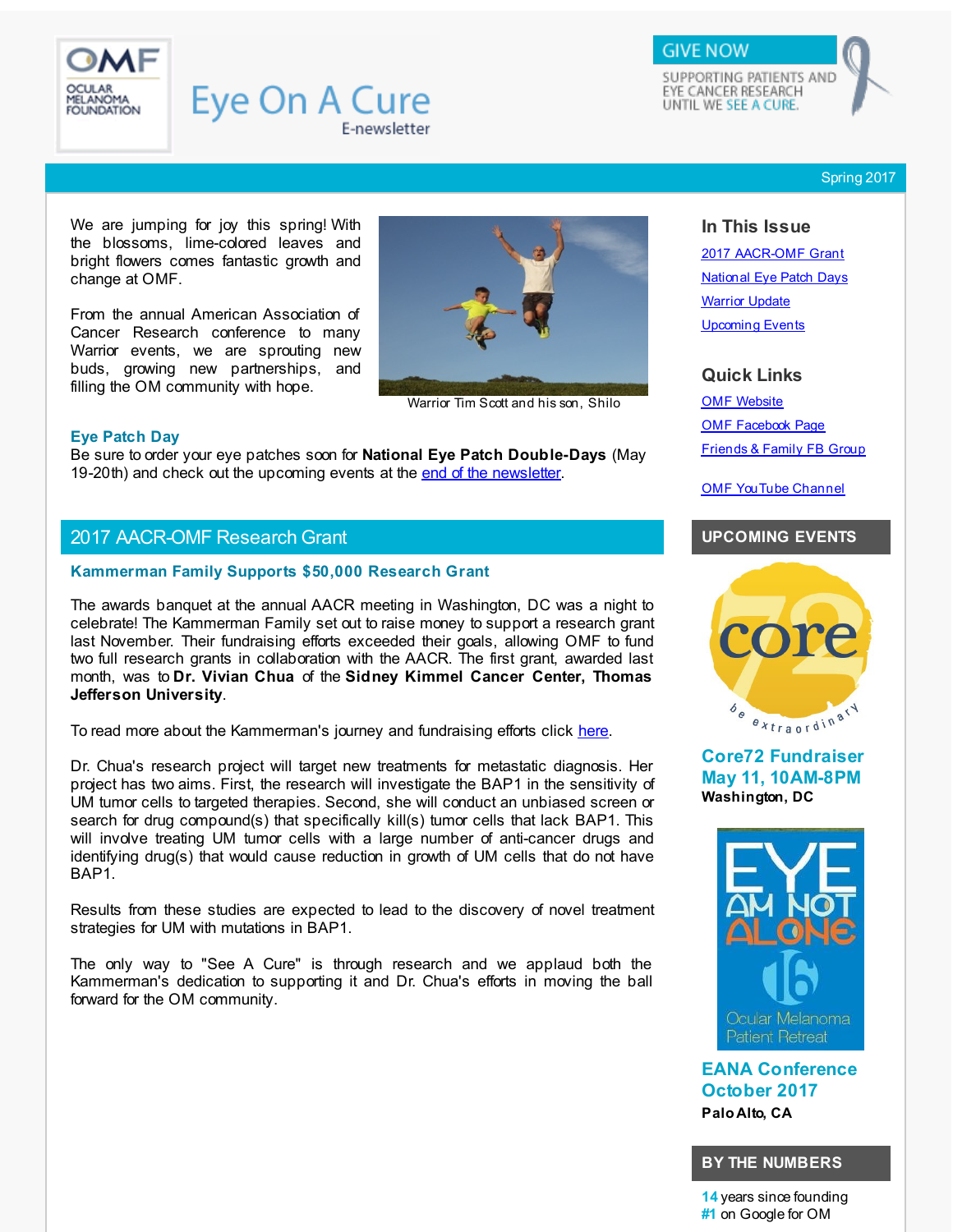<span id="page-0-0"></span>

# **Eye On A Cure** E-newsletter

SUPPORTING PATIENTS AND EYE CANCER RESEARCH UNTIL WE SEE A CURE.

**GIVE NOW** 

Spring 2017

We are jumping for joy this spring! With the blossoms, lime-colored leaves and bright flowers comes fantastic growth and change at OMF.

From the annual American Association of Cancer Research conference to many Warrior events, we are sprouting new buds, growing new partnerships, and filling the OM community with hope.



Warrior Tim Scott and his son, Shilo

#### **Eye Patch Day**

Be sure to order your eye patches soon for **National Eye Patch Double-Days** (May 19-20th) and check out the upcoming events at the end of the [newsletter](#page-3-0).

# 2017 AACR-OMF Research Grant

#### **Kammerman Family Supports \$50,000 Research Grant**

The awards banquet at the annual AACR meeting in Washington, DC was a night to celebrate! The Kammerman Family set out to raise money to support a research grant last November. Their fundraising efforts exceeded their goals, allowing OMF to fund two full research grants in collaboration with the AACR. The first grant, awarded last month, was to **Dr. Vivian Chua** of the **Sidney Kimmel Cancer Center, Thomas Jefferson University**.

To read more about the Kammerman's journey and fundraising efforts click [here](http://r20.rs6.net/tn.jsp?f=001AcDbsTb8CeQZvFqtzMl_MKMXUK5SU0uZ1jKzrL9nyks_2JJMfykZOHeCoHKKagyoyZz2sZhbuIguhIID4AmElRmTk_wTg8r9Na-Z3nM_S873iPEEH_eZCYSOYr5TsqHFDjfx-75oajfQVE94XCYe5B3_9KrWz_G-CEZn1jzq_amlboiS7eJXVejLZ-2rlu6l6KU35rro0sXzDNANTZeNaZK3NNh89lUdl1IKSYFfp2SSxUQs_JowhkgU9fIT3MowmxsdZZoMxAPbh8ySTP5qfWHndOQVOeT9NTOpOK3a9e9wKt8nyNSkmHwYVYWWxhbbo41iVnihTkOEe21mRSWz5w==&c=&ch=).

Dr. Chua's research project will target new treatments for metastatic diagnosis. Her project has two aims. First, the research will investigate the BAP1 in the sensitivity of UM tumor cells to targeted therapies. Second, she will conduct an unbiased screen or search for drug compound(s) that specifically kill(s) tumor cells that lack BAP1. This will involve treating UM tumor cells with a large number of anti-cancer drugs and identifying drug(s) that would cause reduction in growth of UM cells that do not have BAP1.

Results from these studies are expected to lead to the discovery of novel treatment strategies for UM with mutations in BAP1.

The only way to "See A Cure" is through research and we applaud both the Kammerman's dedication to supporting it and Dr. Chua's efforts in moving the ball forward for the OM community.

## **In This Issue**

2017 [AACR-OMF](#page-0-0) Grant [National](#page-0-0) Eye Patch Days [Warrior](#page-0-0) Update [Upcoming](#page-0-0) Events

#### **Quick Links**

OMF [Website](http://r20.rs6.net/tn.jsp?f=001AcDbsTb8CeQZvFqtzMl_MKMXUK5SU0uZ1jKzrL9nyks_2JJMfykZOIcGVBFj8ZzACErfpf2oKRoBbSNwUuK-udI3KUBlafCjnQe5lHXfXxQY_Q4rAaKk2xxiEPOQiq-kqj-ZppDzTAWTQxaOvWLbWMJr1hOFxwKvyH63Dqw3_d0t3-bsRrL7FGGbgeZ67JHwDah_d2PNHf6HaUvs6Btye0D_ybwjL70eYqC08GyR-1AeojrtEkvmDikfQM7i0UhOmMWEVDLWOY1WJhFLU8WSifTxNPNWzGHIxli9qMyniyAzDXNDxhwA8hAIBk3w1rRD&c=&ch=) OMF [Facebook](http://r20.rs6.net/tn.jsp?f=001AcDbsTb8CeQZvFqtzMl_MKMXUK5SU0uZ1jKzrL9nyks_2JJMfykZOCsYfJxcRFncwDveUOVgQ0RfLOf3rcFPji_iTRCpe31jyQYjF8Fx2-czugEEl0xhh1U0nCqD07XByji2rA_eFzP2XiLNylT8CjBCx9ARasJKdsUeBFSVq_pLMzmOGx857TCja2wvok1R&c=&ch=) Page [Friends](http://r20.rs6.net/tn.jsp?f=001AcDbsTb8CeQZvFqtzMl_MKMXUK5SU0uZ1jKzrL9nyks_2JJMfykZOLqA-D7CO7Cr1zv2cAAm7zFESK4JvqA55CTCjwox-Msuj4PXEmuiwbDjT76tiad8OfyFyUa3BiSUyJCOKfQOLzrS9eLNMFDZwTbi_xe4G6mTM5i-99IszVqdJWSJv7nJmSygol6_jWpkRwd711C7exE=&c=&ch=) & Family FB Group

OMF [YouTube](http://r20.rs6.net/tn.jsp?f=001AcDbsTb8CeQZvFqtzMl_MKMXUK5SU0uZ1jKzrL9nyks_2JJMfykZODQ90h1xPV6s55j5-rPy6UxqQTb0MUUw0e64D3eslj8HSm5rXDvf4YkR0mqr3_KbH2bEdd-pmYbeCAlo4zJeKazxdpD0Rv_aCCnNtnin8uN_upHj4FiiK6TjPzWCnsy80g8frb0hKwrT-WfGGLrzWdS4esF7_ucwMZP1NjnehhoT&c=&ch=) Channel

## **UPCOMING EVENTS**



**Core72 Fundraiser May 11, 10AM-8PM Washington, DC**



**EANA Conference October 2017 Palo Alto, CA**

#### **BY THE NUMBERS**

**14** years since founding **#1** on Google for OM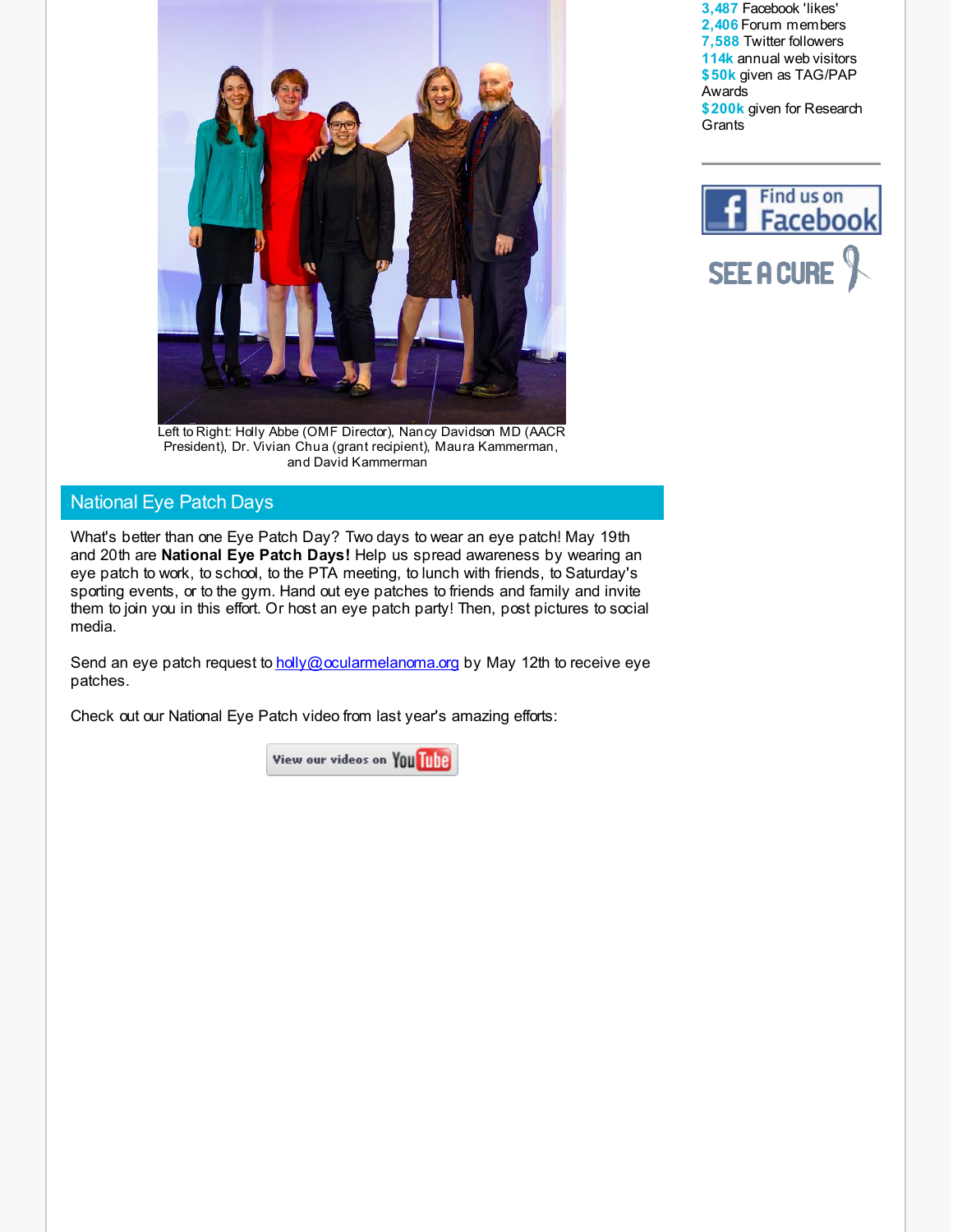

Left to Right: Holly Abbe (OMF Director), Nancy Davidson MD (AACR President), Dr. Vivian Chua (grant recipient), Maura Kammerman, and David Kammerman

# National Eye Patch Days

What's better than one Eye Patch Day? Two days to wear an eye patch! May 19th and 20th are **National Eye Patch Days!** Help us spread awareness by wearing an eye patch to work, to school, to the PTA meeting, to lunch with friends, to Saturday's sporting events, or to the gym. Hand out eye patches to friends and family and invite them to join you in this effort. Or host an eye patch party! Then, post pictures to social media.

Send an eye patch request to [holly@ocularmelanoma.org](mailto:holly@ocularmelanoma.org) by May 12th to receive eye patches.

Check out our National Eye Patch video from last year's amazing efforts:

View our videos on YOU Tube

**3,487** Facebook 'likes' **2,406** Forum members **7,588** Twitter followers **114k** annual web visitors **\$50k** given as TAG/PAP Awards **\$200k** given for Research **Grants** 

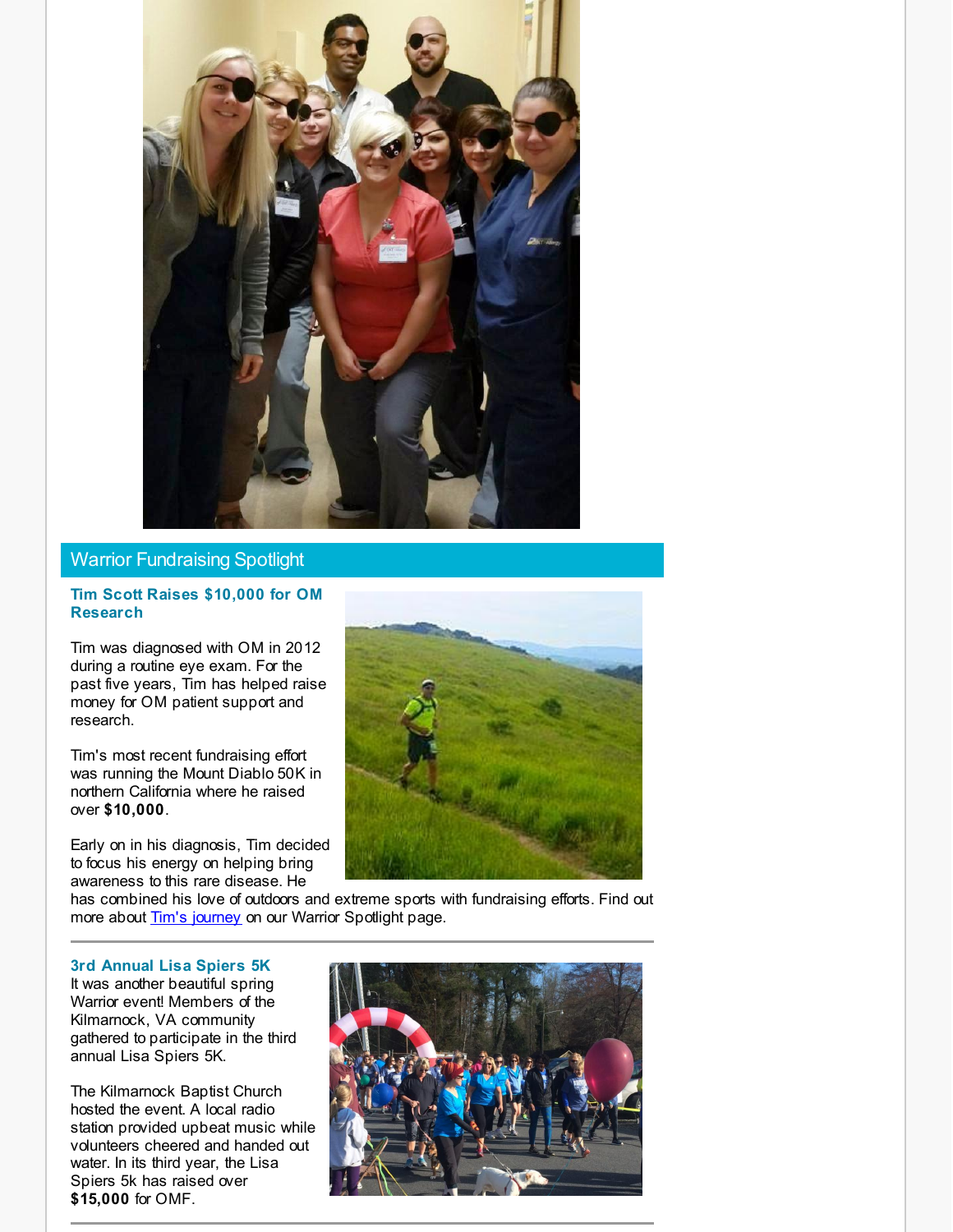

# Warrior Fundraising Spotlight

### **Tim Scott Raises \$10,000 for OM Research**

Tim was diagnosed with OM in 2012 during a routine eye exam. For the past five years, Tim has helped raise money for OM patient support and research.

Tim's most recent fundraising effort was running the Mount Diablo 50K in northern California where he raised over **\$10,000**.

Early on in his diagnosis, Tim decided to focus his energy on helping bring awareness to this rare disease. He



has combined his love of outdoors and extreme sports with fundraising efforts. Find out more about **Tim's [journey](http://r20.rs6.net/tn.jsp?f=001AcDbsTb8CeQZvFqtzMl_MKMXUK5SU0uZ1jKzrL9nyks_2JJMfykZOICiggftuWpNoMsS_7vL3VHfDKIRN1fIxp7rRNxL64a3lAEyJmyletKzG9jK_vk47VADfVAfiMUVoFxtV5Z4t9grHPme8E8ax1CPIEG52uq5z_CyrWnHhzjdjunHHZeIPwOx18zE8abbxYoTcbVKoWnSNWHRDPRVZc0ct6TxXe3qc5aoaEwaAnB9pcPhrZFLW289iSK9X8zeggKRIfUiuP4XgAdh1Xs0Ayy7jSyej_9_CNtamfhdRznQJDcGgamssb9MrtqaIprebm44SLB13r8=&c=&ch=)** on our Warrior Spotlight page.

### **3rd Annual Lisa Spiers 5K**

It was another beautiful spring Warrior event! Members of the Kilmarnock, VA community gathered to participate in the third annual Lisa Spiers 5K.

The Kilmarnock Baptist Church hosted the event. A local radio station provided upbeat music while volunteers cheered and handed out water. In its third year, the Lisa Spiers 5k has raised over **\$15,000** for OMF.

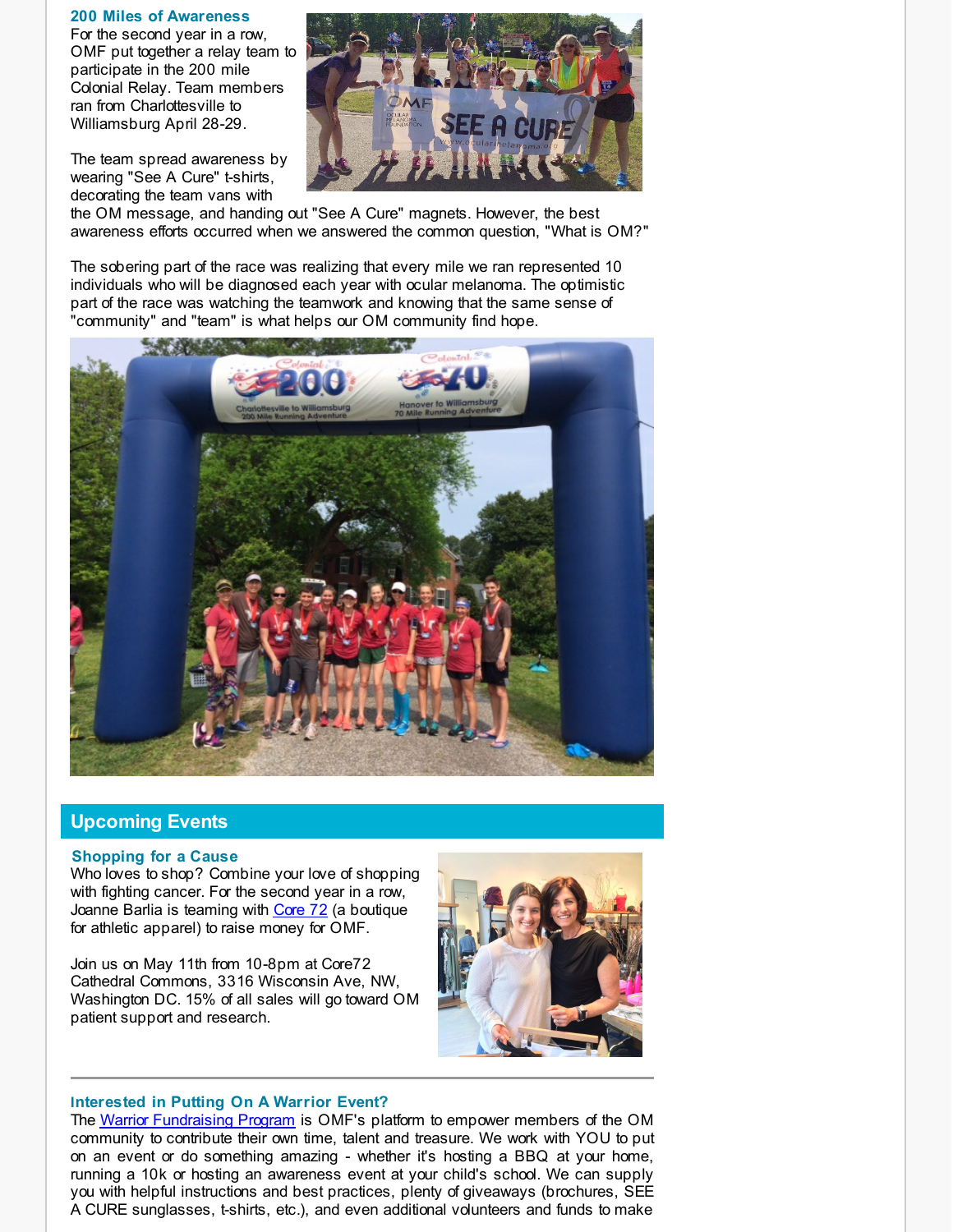#### **200 Miles of Awareness**

For the second year in a row, OMF put together a relay team to participate in the 200 mile Colonial Relay. Team members ran from Charlottesville to Williamsburg April 28-29.

The team spread awareness by wearing "See A Cure" t-shirts, decorating the team vans with



the OM message, and handing out "See A Cure" magnets. However, the best awareness efforts occurred when we answered the common question, "What is OM?"

The sobering part of the race was realizing that every mile we ran represented 10 individuals who will be diagnosed each year with ocular melanoma. The optimistic part of the race was watching the teamwork and knowing that the same sense of "community" and "team" is what helps our OM community find hope.



# **Upcoming Events**

### <span id="page-3-0"></span>**Shopping for a Cause**

Who loves to shop? Combine your love of shopping with fighting cancer. For the second year in a row, Joanne Barlia is teaming with [Core](http://r20.rs6.net/tn.jsp?f=001AcDbsTb8CeQZvFqtzMl_MKMXUK5SU0uZ1jKzrL9nyks_2JJMfykZOANJVLrt88KpdLA92dkZOFlkJHeuEaZGbLBNK6RYywZ0kPapL6AcVWHfEwM-Y34cH7h5kMGFxuOC_s3W1vSY4tbJtFsripF-yzqy6V0rQCiJgrEnHZWzBVMP0GAGUPQpBKB7u-rJ3K7dX-8TP-3O_knOrTq4-HozZUQK8OPfkk12k1DQ2fEXgTXe-3hidKxFiUcM2lLkk5HPQmW1eSL8F3O4M_Z7iqdZteyDZ9BynMpH-LRsrTCvxvWpMq1_lzr-Hg==&c=&ch=) 72 (a boutique for athletic apparel) to raise money for OMF.

Join us on May 11th from 10-8pm at Core72 Cathedral Commons, 3316 Wisconsin Ave, NW, Washington DC. 15% of all sales will go toward OM patient support and research.



### **Interested in Putting On A Warrior Event?**

The Warrior [Fundraising](http://r20.rs6.net/tn.jsp?f=001AcDbsTb8CeQZvFqtzMl_MKMXUK5SU0uZ1jKzrL9nyks_2JJMfykZOMCW_EvNGVLLxLlI4iuJlYMTTM3K6wRiB7lfWS1l2Nqbs1SDgP1fLWN6Fc2gU-l1Eb3ycqrbPlINasNWJeYRRMn53WxNXGmAGEu7s2SqTXpbTm_36FvCg9gfvi9E_WWC_-JlhawOb6y4dOqJI-ShzN2Lf0a9RP60Fy10AsiOA0zeDlhpdsxqSvBwy2673fi4G4XiB-fTVRLXTr4odawW_mX7QDQEHSPuzrKD5gtf2OZq48iGs-KqZXllSbsjwYnaU6BaswocHMCutOHn-GEJXcKlkGW-FL3UiNyBMXZbgrSz&c=&ch=) Program is OMF's platform to empower members of the OM community to contribute their own time, talent and treasure. We work with YOU to put on an event or do something amazing - whether it's hosting a BBQ at your home, running a 10k or hosting an awareness event at your child's school. We can supply you with helpful instructions and best practices, plenty of giveaways (brochures, SEE A CURE sunglasses, t-shirts, etc.), and even additional volunteers and funds to make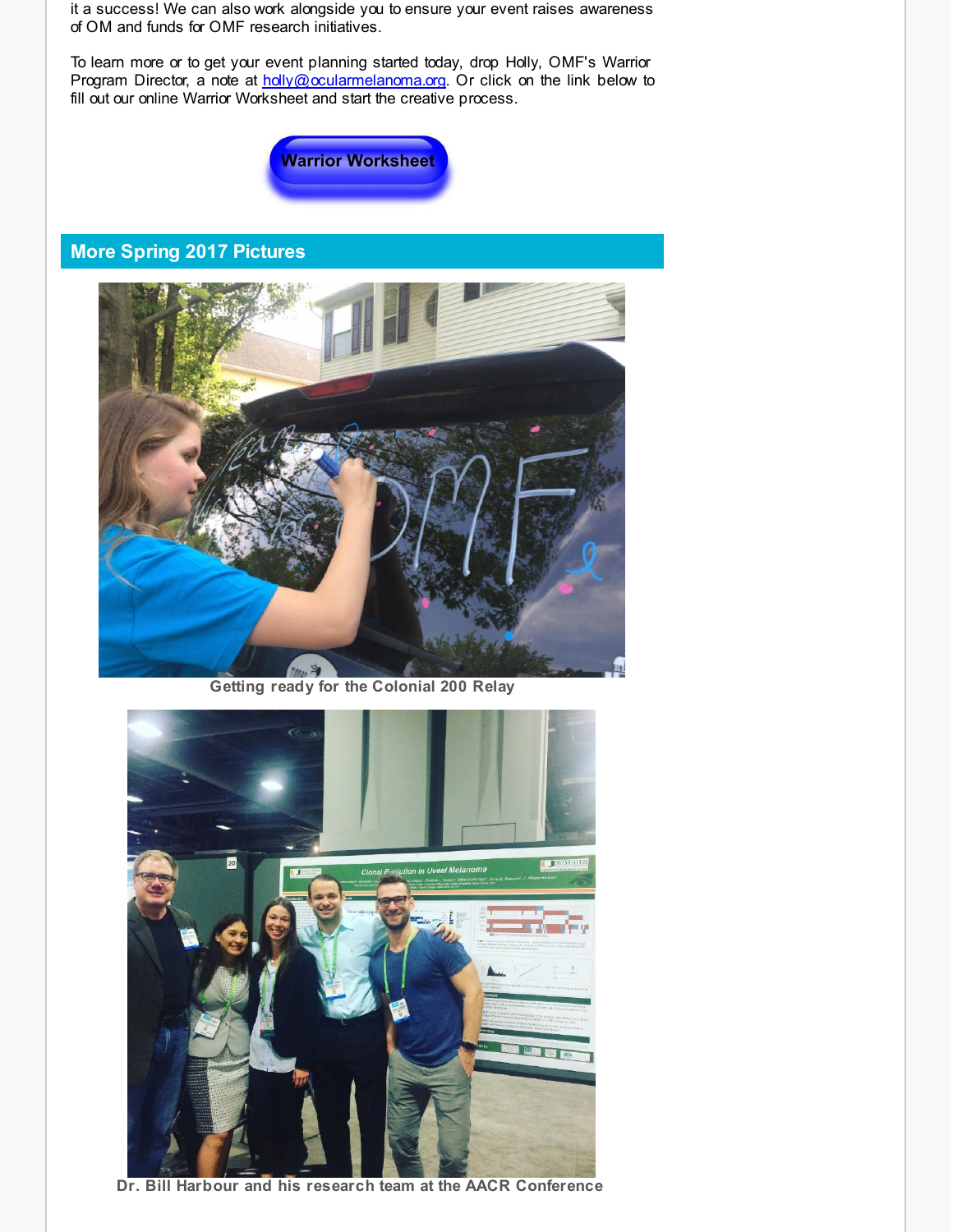it a success! We can also work alongside you to ensure your event raises awareness of OM and funds for OMF research initiatives.

To learn more or to get your event planning started today, drop Holly, OMF's Warrior Program Director, a note at [holly@ocularmelanoma.org](http://r20.rs6.net/tn.jsp?f=001AcDbsTb8CeQZvFqtzMl_MKMXUK5SU0uZ1jKzrL9nyks_2JJMfykZOCLrmYDgbt_0MZLfTgsdyAtL8afM0hFp_8R9ot_3aK879qpOny85__vHqmU62E3iY6q9SuI2AfOA8c11gudJE7Q64RRLtc5PmdzdVqEtiueagooLIsE_SxkdX1vy6q9N9bs0SlWsysjz6OJViFp1R_ihyewxT6W1-472uTJMbVGx-49SE7B9d2xnBsPRZFR991KELbZ8AR8xA5hlN7iiKhvKAuXMq4K-0xfQe_j8-dEX1rE95Uc6zeSunQXsKkk-a4WMPyt5yO8ckys79sfxzxZBtPkEDsvdHU3IEKnuw7c2IL-8zc_-hY3yr72GjDibNkyGMv5jk4VC4a-HneHOGdsqqZxHrtTXlA==&c=&ch=). Or click on the link below to fill out our online Warrior Worksheet and start the creative process.



# **More Spring 2017 Pictures**



**Getting ready for the Colonial 200 Relay**



**Dr. Bill Harbour and his research team at the AACR Conference**